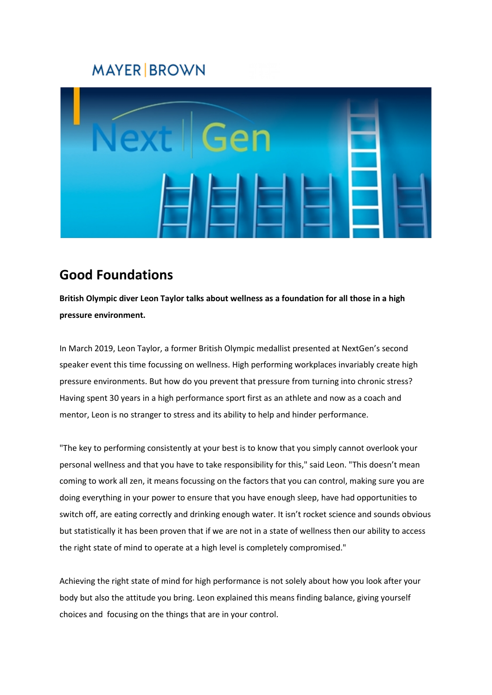## **MAYER BROWN**



## **Good Foundations**

**British Olympic diver Leon Taylor talks about wellness as a foundation for all those in a high pressure environment.** 

In March 2019, Leon Taylor, a former British Olympic medallist presented at NextGen's second speaker event this time focussing on wellness. High performing workplaces invariably create high pressure environments. But how do you prevent that pressure from turning into chronic stress? Having spent 30 years in a high performance sport first as an athlete and now as a coach and mentor, Leon is no stranger to stress and its ability to help and hinder performance.

"The key to performing consistently at your best is to know that you simply cannot overlook your personal wellness and that you have to take responsibility for this," said Leon. "This doesn't mean coming to work all zen, it means focussing on the factors that you can control, making sure you are doing everything in your power to ensure that you have enough sleep, have had opportunities to switch off, are eating correctly and drinking enough water. It isn't rocket science and sounds obvious but statistically it has been proven that if we are not in a state of wellness then our ability to access the right state of mind to operate at a high level is completely compromised."

Achieving the right state of mind for high performance is not solely about how you look after your body but also the attitude you bring. Leon explained this means finding balance, giving yourself choices and focusing on the things that are in your control.